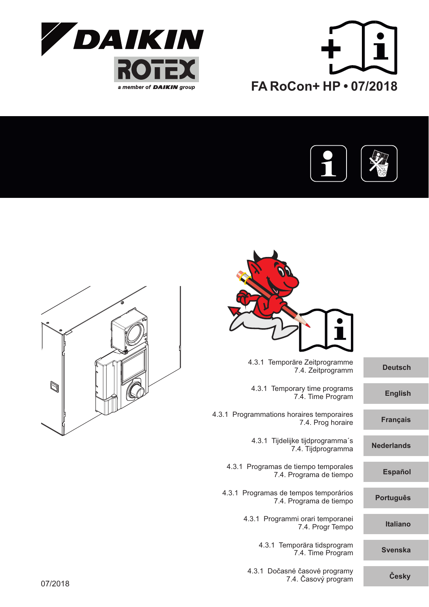





| <b>Deutsch</b>    | 4.3.1 Temporäre Zeitprogramme<br>7.4. Zeitprogramm               |
|-------------------|------------------------------------------------------------------|
| <b>English</b>    | 4.3.1 Temporary time programs<br>7.4. Time Program               |
| <b>Français</b>   | 4.3.1 Programmations horaires temporaires<br>7.4. Prog horaire   |
| <b>Nederlands</b> | 4.3.1 Tijdelijke tijdprogramma's<br>7.4. Tijdprogramma           |
| <b>Español</b>    | 4.3.1 Programas de tiempo temporales<br>7.4. Programa de tiempo  |
| <b>Português</b>  | 4.3.1 Programas de tempos temporários<br>7.4. Programa de tiempo |
| <b>Italiano</b>   | 4.3.1 Programmi orari temporanei<br>7.4. Progr Tempo             |
| <b>Svenska</b>    | 4.3.1 Temporära tidsprogram<br>7.4. Time Program                 |
| Česky             | 4.3.1 Dočasné časové programy<br>7.4. Časový program             |
|                   |                                                                  |